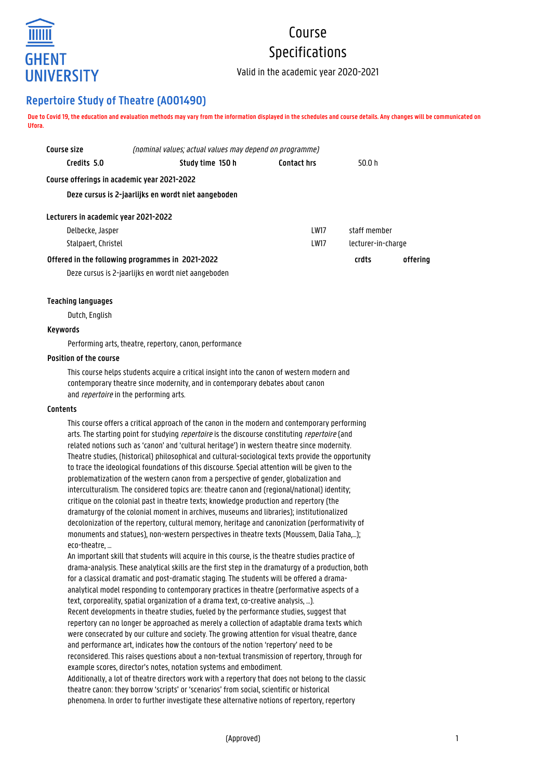

# Course Specifications

Valid in the academic year 2020-2021

# **Repertoire Study of Theatre (A001490)**

**Due to Covid 19, the education and evaluation methods may vary from the information displayed in the schedules and course details. Any changes will be communicated on Ufora.**

| Course size                                         | (nominal values; actual values may depend on programme) |                    |                    |          |
|-----------------------------------------------------|---------------------------------------------------------|--------------------|--------------------|----------|
| Credits 5.0                                         | Study time 150 h                                        | <b>Contact hrs</b> | 50.0 h             |          |
| Course offerings in academic year 2021-2022         |                                                         |                    |                    |          |
| Deze cursus is 2-jaarlijks en wordt niet aangeboden |                                                         |                    |                    |          |
| Lecturers in academic year 2021-2022                |                                                         |                    |                    |          |
| Delbecke, Jasper                                    |                                                         | I W17              | staff memher       |          |
| Stalpaert, Christel                                 |                                                         | <b>LW17</b>        | lecturer-in-charge |          |
|                                                     | Offered in the following programmes in 2021-2022        |                    | crdts              | offerina |

Deze cursus is 2-jaarlijks en wordt niet aangeboden

# **Teaching languages**

Dutch, English

# **Keywords**

Performing arts, theatre, repertory, canon, performance

#### **Position of the course**

This course helps students acquire a critical insight into the canon of western modern and contemporary theatre since modernity, and in contemporary debates about canon and *repertoire* in the performing arts.

#### **Contents**

This course offers a critical approach of the canon in the modern and contemporary performing arts. The starting point for studying *repertoire* is the discourse constituting *repertoire* (and related notions such as 'canon' and 'cultural heritage') in western theatre since modernity. Theatre studies, (historical) philosophical and cultural-sociological texts provide the opportunity to trace the ideological foundations of this discourse. Special attention will be given to the problematization of the western canon from a perspective of gender, globalization and interculturalism. The considered topics are: theatre canon and (regional/national) identity; critique on the colonial past in theatre texts; knowledge production and repertory (the dramaturgy of the colonial moment in archives, museums and libraries); institutionalized decolonization of the repertory, cultural memory, heritage and canonization (performativity of monuments and statues), non-western perspectives in theatre texts (Moussem, Dalia Taha,…); eco-theatre

An important skill that students will acquire in this course, is the theatre studies practice of drama-analysis. These analytical skills are the first step in the dramaturgy of a production, both for a classical dramatic and post-dramatic staging. The students will be offered a dramaanalytical model responding to contemporary practices in theatre (performative aspects of a text, corporeality, spatial organization of a drama text, co-creative analysis, …). Recent developments in theatre studies, fueled by the performance studies, suggest that repertory can no longer be approached as merely a collection of adaptable drama texts which were consecrated by our culture and society. The growing attention for visual theatre, dance and performance art, indicates how the contours of the notion 'repertory' need to be reconsidered. This raises questions about a non-textual transmission of repertory, through for example scores, director's notes, notation systems and embodiment. Additionally, a lot of theatre directors work with a repertory that does not belong to the classic theatre canon: they borrow 'scripts' or 'scenarios' from social, scientific or historical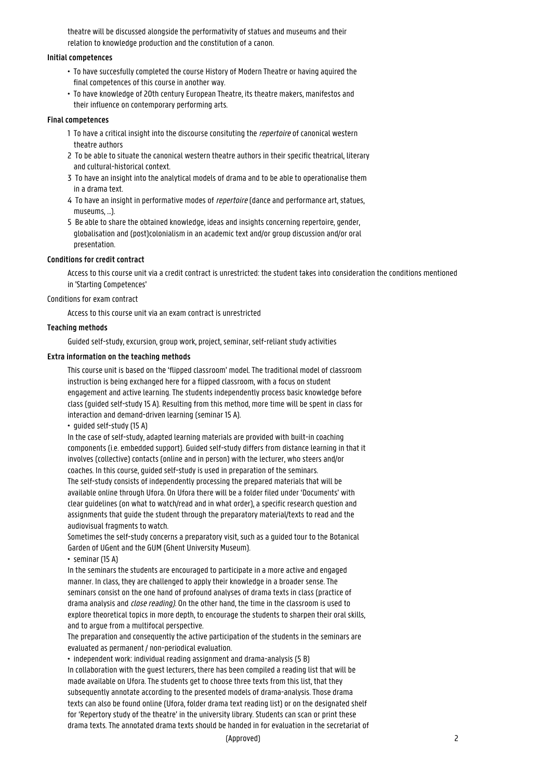theatre will be discussed alongside the performativity of statues and museums and their relation to knowledge production and the constitution of a canon.

#### **Initial competences**

- To have succesfully completed the course History of Modern Theatre or having aquired the final competences of this course in another way.
- To have knowledge of 20th century European Theatre, its theatre makers, manifestos and their influence on contemporary performing arts.

# **Final competences**

- 1 To have a critical insight into the discourse consituting the *repertoire* of canonical western theatre authors
- 2 To be able to situate the canonical western theatre authors in their specific theatrical, literary and cultural-historical context.
- 3 To have an insight into the analytical models of drama and to be able to operationalise them in a drama text.
- 4 To have an insight in performative modes of *repertoire* (dance and performance art, statues, museums, ...).
- 5 Be able to share the obtained knowledge, ideas and insights concerning repertoire, gender, 1 globalisation and (post)colonialism in an academic text and/or group discussion and/or oral presentation.

# **Conditions for credit contract**

Access to this course unit via a credit contract is unrestricted: the student takes into consideration the conditions mentioned in 'Starting Competences'

#### Conditions for exam contract

Access to this course unit via an exam contract is unrestricted

# **Teaching methods**

Guided self-study, excursion, group work, project, seminar, self-reliant study activities

# **Extra information on the teaching methods**

This course unit is based on the 'flipped classroom' model. The traditional model of classroom instruction is being exchanged here for a flipped classroom, with a focus on student engagement and active learning. The students independently process basic knowledge before class (guided self-study 15 A). Resulting from this method, more time will be spent in class for interaction and demand-driven learning (seminar 15 A).

• guided self-study (15 A)

In the case of self-study, adapted learning materials are provided with built-in coaching components (i.e. embedded support). Guided self-study differs from distance learning in that it involves (collective) contacts (online and in person) with the lecturer, who steers and/or coaches. In this course, guided self-study is used in preparation of the seminars. The self-study consists of independently processing the prepared materials that will be available online through Ufora. On Ufora there will be a folder filed under 'Documents' with clear guidelines (on what to watch/read and in what order), a specific research question and

assignments that guide the student through the preparatory material/texts to read and the audiovisual fragments to watch.

Sometimes the self-study concerns a preparatory visit, such as a guided tour to the Botanical Garden of UGent and the GUM (Ghent University Museum).

• seminar (15 A)

In the seminars the students are encouraged to participate in a more active and engaged manner. In class, they are challenged to apply their knowledge in a broader sense. The seminars consist on the one hand of profound analyses of drama texts in class (practice of drama analysis and close reading). On the other hand, the time in the classroom is used to explore theoretical topics in more depth, to encourage the students to sharpen their oral skills, and to argue from a multifocal perspective.

The preparation and consequently the active participation of the students in the seminars are evaluated as permanent / non-periodical evaluation.

• independent work: individual reading assignment and drama-analysis (5 B) In collaboration with the guest lecturers, there has been compiled a reading list that will be made available on Ufora. The students get to choose three texts from this list, that they subsequently annotate according to the presented models of drama-analysis. Those drama texts can also be found online (Ufora, folder drama text reading list) or on the designated shelf for 'Repertory study of the theatre' in the university library. Students can scan or print these drama texts. The annotated drama texts should be handed in for evaluation in the secretariat of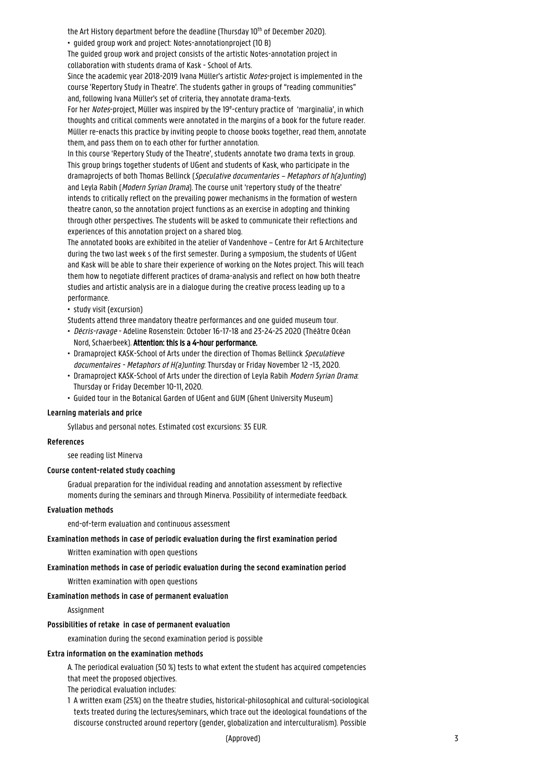the Art History department before the deadline (Thursday 10<sup>th</sup> of December 2020).

• guided group work and project: Notes-annotationproject (10 B)

The guided group work and project consists of the artistic Notes-annotation project in collaboration with students drama of Kask - School of Arts.

Since the academic year 2018-2019 Ivana Müller's artistic Notes-project is implemented in the course 'Repertory Study in Theatre'. The students gather in groups of "reading communities" and, following Ivana Müller's set of criteria, they annotate drama-texts.

For her Notes-project, Müller was inspired by the 19<sup>e</sup>-century practice of 'marginalia', in which thoughts and critical comments were annotated in the margins of a book for the future reader. Müller re-enacts this practice by inviting people to choose books together, read them, annotate them, and pass them on to each other for further annotation.

In this course 'Repertory Study of the Theatre', students annotate two drama texts in group. This group brings together students of UGent and students of Kask, who participate in the dramaprojects of both Thomas Bellinck (Speculative documentaries – Metaphors of h(a)unting) and Leyla Rabih (Modern Syrian Drama). The course unit 'repertory study of the theatre' intends to critically reflect on the prevailing power mechanisms in the formation of western theatre canon, so the annotation project functions as an exercise in adopting and thinking through other perspectives. The students will be asked to communicate their reflections and experiences of this annotation project on a shared blog.

The annotated books are exhibited in the atelier of Vandenhove – Centre for Art & Architecture during the two last week s of the first semester. During a symposium, the students of UGent and Kask will be able to share their experience of working on the Notes project. This will teach them how to negotiate different practices of drama-analysis and reflect on how both theatre studies and artistic analysis are in a dialogue during the creative process leading up to a performance.

• study visit (excursion)

- Students attend three mandatory theatre performances and one guided museum tour.
- Décris-ravage Adeline Rosenstein: October 16-17-18 and 23-24-25 2020 (Théâtre Océan • Nord, Schaerbeek). Attention: this is a 4-hour performance.
- Dramaproject KASK-School of Arts under the direction of Thomas Bellinck Speculatieve documentaires - Metaphors of H(a)unting. Thursday or Friday November 12 -13, 2020.
- Dramaproject KASK-School of Arts under the direction of Leyla Rabih Modern Syrian Drama: • Thursday or Friday December 10-11, 2020.
- Guided tour in the Botanical Garden of UGent and GUM (Ghent University Museum)

#### **Learning materials and price**

Syllabus and personal notes. Estimated cost excursions: 35 EUR.

#### **References**

see reading list Minerva

#### **Course content-related study coaching**

Gradual preparation for the individual reading and annotation assessment by reflective moments during the seminars and through Minerva. Possibility of intermediate feedback.

#### **Evaluation methods**

end-of-term evaluation and continuous assessment

#### **Examination methods in case of periodic evaluation during the first examination period**

Written examination with open questions

#### **Examination methods in case of periodic evaluation during the second examination period**

Written examination with open questions

#### **Examination methods in case of permanent evaluation**

Assignment

#### **Possibilities of retake in case of permanent evaluation**

examination during the second examination period is possible

#### **Extra information on the examination methods**

A. The periodical evaluation (50 %) tests to what extent the student has acquired competencies that meet the proposed objectives.

The periodical evaluation includes:

1 A written exam (25%) on the theatre studies, historical-philosophical and cultural-sociological texts treated during the lectures/seminars, which trace out the ideological foundations of the discourse constructed around repertory (gender, globalization and interculturalism). Possible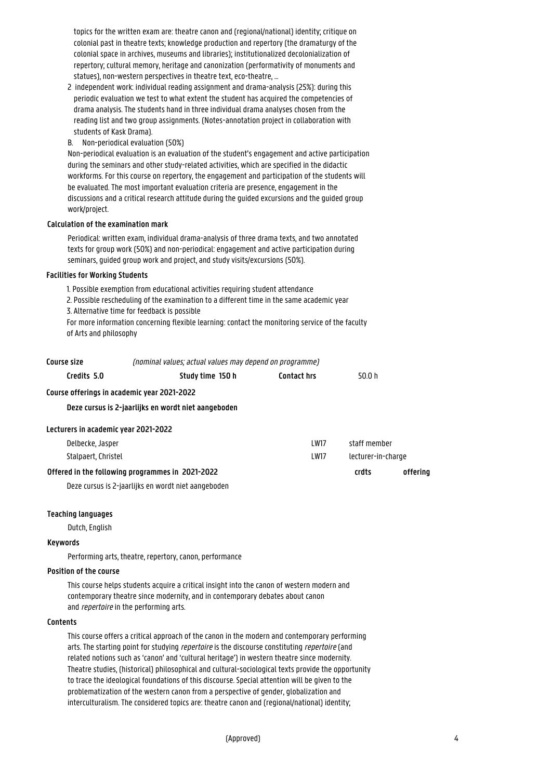topics for the written exam are: theatre canon and (regional/national) identity; critique on colonial past in theatre texts; knowledge production and repertory (the dramaturgy of the colonial space in archives, museums and libraries); institutionalized decolonialization of 1 repertory; cultural memory, heritage and canonization (performativity of monuments and statues), non-western perspectives in theatre text, eco-theatre, ...

- 2 independent work: individual reading assignment and drama-analysis (25%): during this 1 periodic evaluation we test to what extent the student has acquired the competencies of 1 drama analysis. The students hand in three individual drama analyses chosen from the 1 reading list and two group assignments. (Notes-annotation project in collaboration with students of Kask Drama).
- B. Non-periodical evaluation (50%)

Non-periodical evaluation is an evaluation of the student's engagement and active participation during the seminars and other study-related activities, which are specified in the didactic workforms. For this course on repertory, the engagement and participation of the students will be evaluated. The most important evaluation criteria are presence, engagement in the discussions and a critical research attitude during the guided excursions and the guided group work/project.

# **Calculation of the examination mark**

Periodical: written exam, individual drama-analysis of three drama texts, and two annotated texts for group work (50%) and non-periodical: engagement and active participation during seminars, guided group work and project, and study visits/excursions (50%).

# **Facilities for Working Students**

1. Possible exemption from educational activities requiring student attendance

2. Possible rescheduling of the examination to a different time in the same academic year 3. Alternative time for feedback is possible

For more information concerning flexible learning: contact the monitoring service of the faculty of Arts and philosophy

| Course size                          | (nominal values; actual values may depend on programme) |                              |                    |  |
|--------------------------------------|---------------------------------------------------------|------------------------------|--------------------|--|
| Credits 5.0                          | Study time 150 h                                        | <b>Contact hrs</b><br>50.0 h |                    |  |
|                                      | Course offerings in academic year 2021-2022             |                              |                    |  |
|                                      | Deze cursus is 2-jaarlijks en wordt niet aangeboden     |                              |                    |  |
| Lecturers in academic year 2021-2022 |                                                         |                              |                    |  |
| Delbecke, Jasper                     |                                                         | l W17                        | staff member       |  |
| Stalpaert, Christel                  |                                                         | <b>LW17</b>                  | lecturer-in-charge |  |

#### **Offered in the following programmes in 2021-2022 crdts offering**

Deze cursus is 2-jaarlijks en wordt niet aangeboden

# **Teaching languages**

Dutch, English

#### **Keywords**

Performing arts, theatre, repertory, canon, performance

#### **Position of the course**

This course helps students acquire a critical insight into the canon of western modern and contemporary theatre since modernity, and in contemporary debates about canon and repertoire in the performing arts.

#### **Contents**

This course offers a critical approach of the canon in the modern and contemporary performing arts. The starting point for studying *repertoire* is the discourse constituting *repertoire* (and related notions such as 'canon' and 'cultural heritage') in western theatre since modernity. Theatre studies, (historical) philosophical and cultural-sociological texts provide the opportunity to trace the ideological foundations of this discourse. Special attention will be given to the problematization of the western canon from a perspective of gender, globalization and interculturalism. The considered topics are: theatre canon and (regional/national) identity;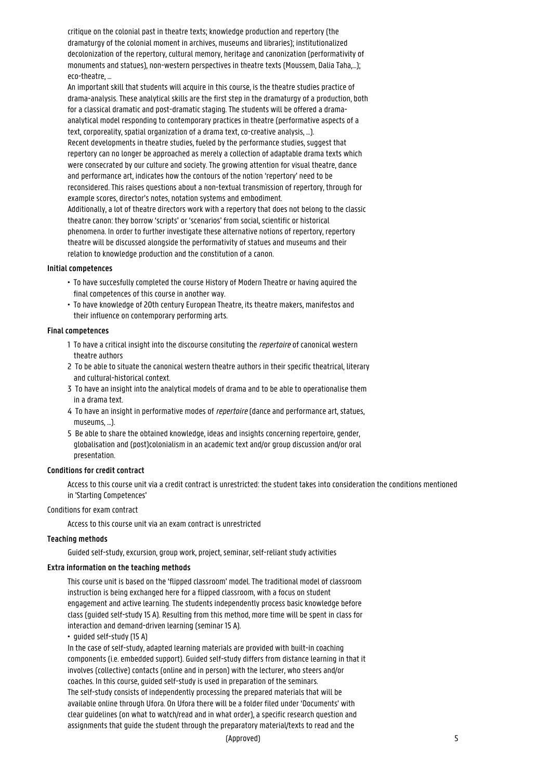critique on the colonial past in theatre texts; knowledge production and repertory (the dramaturgy of the colonial moment in archives, museums and libraries); institutionalized decolonization of the repertory, cultural memory, heritage and canonization (performativity of monuments and statues), non-western perspectives in theatre texts (Moussem, Dalia Taha,…); eco-theatre, …

An important skill that students will acquire in this course, is the theatre studies practice of drama-analysis. These analytical skills are the first step in the dramaturgy of a production, both for a classical dramatic and post-dramatic staging. The students will be offered a dramaanalytical model responding to contemporary practices in theatre (performative aspects of a text, corporeality, spatial organization of a drama text, co-creative analysis, …). Recent developments in theatre studies, fueled by the performance studies, suggest that repertory can no longer be approached as merely a collection of adaptable drama texts which were consecrated by our culture and society. The growing attention for visual theatre, dance and performance art, indicates how the contours of the notion 'repertory' need to be reconsidered. This raises questions about a non-textual transmission of repertory, through for example scores, director's notes, notation systems and embodiment. Additionally, a lot of theatre directors work with a repertory that does not belong to the classic theatre canon: they borrow 'scripts' or 'scenarios' from social, scientific or historical phenomena. In order to further investigate these alternative notions of repertory, repertory theatre will be discussed alongside the performativity of statues and museums and their relation to knowledge production and the constitution of a canon.

#### **Initial competences**

- To have succesfully completed the course History of Modern Theatre or having aquired the final competences of this course in another way.
- To have knowledge of 20th century European Theatre, its theatre makers, manifestos and their influence on contemporary performing arts.

#### **Final competences**

- 1 To have a critical insight into the discourse consituting the *repertoire* of canonical western theatre authors
- 2 To be able to situate the canonical western theatre authors in their specific theatrical, literary and cultural-historical context.
- 3 To have an insight into the analytical models of drama and to be able to operationalise them in a drama text.
- 4 To have an insight in performative modes of *repertoire* (dance and performance art, statues, museums, ...).
- 5 Be able to share the obtained knowledge, ideas and insights concerning repertoire, gender, 1 globalisation and (post)colonialism in an academic text and/or group discussion and/or oral presentation.

#### **Conditions for credit contract**

Access to this course unit via a credit contract is unrestricted: the student takes into consideration the conditions mentioned in 'Starting Competences'

#### Conditions for exam contract

Access to this course unit via an exam contract is unrestricted

#### **Teaching methods**

Guided self-study, excursion, group work, project, seminar, self-reliant study activities

# **Extra information on the teaching methods**

This course unit is based on the 'flipped classroom' model. The traditional model of classroom instruction is being exchanged here for a flipped classroom, with a focus on student engagement and active learning. The students independently process basic knowledge before class (guided self-study 15 A). Resulting from this method, more time will be spent in class for interaction and demand-driven learning (seminar 15 A).

• guided self-study (15 A)

In the case of self-study, adapted learning materials are provided with built-in coaching components (i.e. embedded support). Guided self-study differs from distance learning in that it involves (collective) contacts (online and in person) with the lecturer, who steers and/or coaches. In this course, guided self-study is used in preparation of the seminars. The self-study consists of independently processing the prepared materials that will be available online through Ufora. On Ufora there will be a folder filed under 'Documents' with clear guidelines (on what to watch/read and in what order), a specific research question and assignments that guide the student through the preparatory material/texts to read and the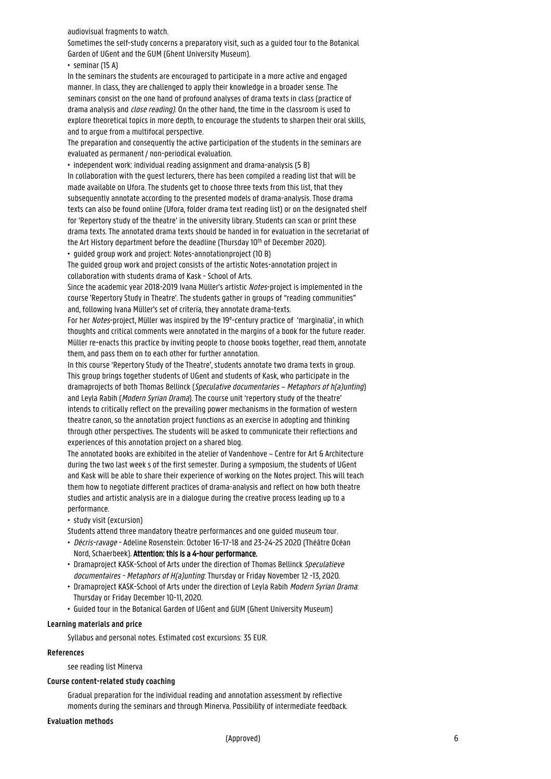audiovisual fragments to watch.

Sometimes the self-study concerns a preparatory visit, such as a guided tour to the Botanical Garden of UGent and the GUM (Ghent University Museum).

• seminar (15 A)

In the seminars the students are encouraged to participate in a more active and engaged manner. In class, they are challenged to apply their knowledge in a broader sense. The seminars consist on the one hand of profound analyses of drama texts in class (practice of drama analysis and close reading). On the other hand, the time in the classroom is used to explore theoretical topics in more depth, to encourage the students to sharpen their oral skills, and to argue from a multifocal perspective.

The preparation and consequently the active participation of the students in the seminars are evaluated as permanent / non-periodical evaluation.

• independent work: individual reading assignment and drama-analysis (5 B) In collaboration with the guest lecturers, there has been compiled a reading list that will be made available on Ufora. The students get to choose three texts from this list, that they subsequently annotate according to the presented models of drama-analysis. Those drama texts can also be found online (Ufora, folder drama text reading list) or on the designated shelf for 'Repertory study of the theatre' in the university library. Students can scan or print these drama texts. The annotated drama texts should be handed in for evaluation in the secretariat of the Art History department before the deadline (Thursday 10<sup>th</sup> of December 2020).

• guided group work and project: Notes-annotationproject (10 B)

The guided group work and project consists of the artistic Notes-annotation project in collaboration with students drama of Kask - School of Arts.

Since the academic year 2018-2019 Ivana Müller's artistic Notes-project is implemented in the course 'Repertory Study in Theatre'. The students gather in groups of "reading communities" and, following Ivana Müller's set of criteria, they annotate drama-texts.

For her Notes-project, Müller was inspired by the 19<sup>e</sup>-century practice of 'marginalia', in which thoughts and critical comments were annotated in the margins of a book for the future reader. Müller re-enacts this practice by inviting people to choose books together, read them, annotate them, and pass them on to each other for further annotation.

In this course 'Repertory Study of the Theatre', students annotate two drama texts in group. This group brings together students of UGent and students of Kask, who participate in the dramaprojects of both Thomas Bellinck (Speculative documentaries – Metaphors of h(a)unting) and Leyla Rabih (Modern Syrian Drama). The course unit 'repertory study of the theatre' intends to critically reflect on the prevailing power mechanisms in the formation of western theatre canon, so the annotation project functions as an exercise in adopting and thinking through other perspectives. The students will be asked to communicate their reflections and experiences of this annotation project on a shared blog.

The annotated books are exhibited in the atelier of Vandenhove – Centre for Art & Architecture during the two last week s of the first semester. During a symposium, the students of UGent and Kask will be able to share their experience of working on the Notes project. This will teach them how to negotiate different practices of drama-analysis and reflect on how both theatre studies and artistic analysis are in a dialogue during the creative process leading up to a performance.

• study visit (excursion)

- Students attend three mandatory theatre performances and one guided museum tour.
- Décris-ravage Adeline Rosenstein: October 16-17-18 and 23-24-25 2020 (Théâtre Océan • Nord, Schaerbeek). Attention: this is a 4-hour performance.
- Dramaproject KASK-School of Arts under the direction of Thomas Bellinck Speculatieve • documentaires - Metaphors of H(a)unting: Thursday or Friday November 12 -13, 2020.
- Dramaproject KASK-School of Arts under the direction of Leyla Rabih Modern Syrian Drama: • Thursday or Friday December 10-11, 2020.
- Guided tour in the Botanical Garden of UGent and GUM (Ghent University Museum)

#### **Learning materials and price**

Syllabus and personal notes. Estimated cost excursions: 35 EUR.

#### **References**

see reading list Minerva

#### **Course content-related study coaching**

Gradual preparation for the individual reading and annotation assessment by reflective moments during the seminars and through Minerva. Possibility of intermediate feedback.

#### **Evaluation methods**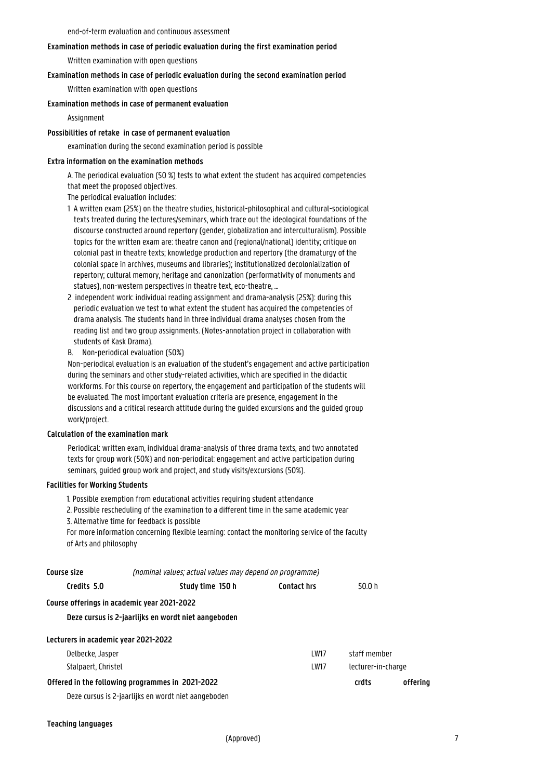end-of-term evaluation and continuous assessment

#### **Examination methods in case of periodic evaluation during the first examination period**

Written examination with open questions

#### **Examination methods in case of periodic evaluation during the second examination period**

Written examination with open questions

#### **Examination methods in case of permanent evaluation**

Assignment

#### **Possibilities of retake in case of permanent evaluation**

examination during the second examination period is possible

#### **Extra information on the examination methods**

A. The periodical evaluation (50 %) tests to what extent the student has acquired competencies that meet the proposed objectives.

The periodical evaluation includes:

- 1 A written exam (25%) on the theatre studies, historical-philosophical and cultural-sociological texts treated during the lectures/seminars, which trace out the ideological foundations of the 1 discourse constructed around repertory (gender, globalization and interculturalism). Possible topics for the written exam are: theatre canon and (regional/national) identity; critique on colonial past in theatre texts; knowledge production and repertory (the dramaturgy of the 1 colonial space in archives, museums and libraries); institutionalized decolonialization of 1 repertory; cultural memory, heritage and canonization (performativity of monuments and statues), non-western perspectives in theatre text, eco-theatre, ...
- 2 independent work: individual reading assignment and drama-analysis (25%): during this periodic evaluation we test to what extent the student has acquired the competencies of 1 drama analysis. The students hand in three individual drama analyses chosen from the 1 reading list and two group assignments. (Notes-annotation project in collaboration with students of Kask Drama).
- B. Non-periodical evaluation (50%)

Non-periodical evaluation is an evaluation of the student's engagement and active participation during the seminars and other study-related activities, which are specified in the didactic workforms. For this course on repertory, the engagement and participation of the students will be evaluated. The most important evaluation criteria are presence, engagement in the discussions and a critical research attitude during the guided excursions and the guided group work/project.

#### **Calculation of the examination mark**

Periodical: written exam, individual drama-analysis of three drama texts, and two annotated texts for group work (50%) and non-periodical: engagement and active participation during seminars, guided group work and project, and study visits/excursions (50%).

#### **Facilities for Working Students**

1. Possible exemption from educational activities requiring student attendance

2. Possible rescheduling of the examination to a different time in the same academic year 3. Alternative time for feedback is possible

For more information concerning flexible learning: contact the monitoring service of the faculty of Arts and philosophy

| Course size                                 | (nominal values; actual values may depend on programme) |                              |                    |          |
|---------------------------------------------|---------------------------------------------------------|------------------------------|--------------------|----------|
| Credits 5.0                                 | Study time 150 h                                        | <b>Contact hrs</b><br>50.0 h |                    |          |
| Course offerings in academic year 2021-2022 |                                                         |                              |                    |          |
|                                             | Deze cursus is 2-jaarlijks en wordt niet aangeboden     |                              |                    |          |
| Lecturers in academic year 2021-2022        |                                                         |                              |                    |          |
| Delbecke, Jasper                            |                                                         | <b>LW17</b>                  | staff member       |          |
| Stalpaert, Christel                         |                                                         | <b>LW17</b>                  | lecturer-in-charge |          |
|                                             | Offered in the following programmes in 2021-2022        |                              | crdts              | offering |
|                                             | Deze cursus is 2-jaarlijks en wordt niet aangeboden     |                              |                    |          |

Deze cursus is 2-jaarlijks en wordt niet aangeboden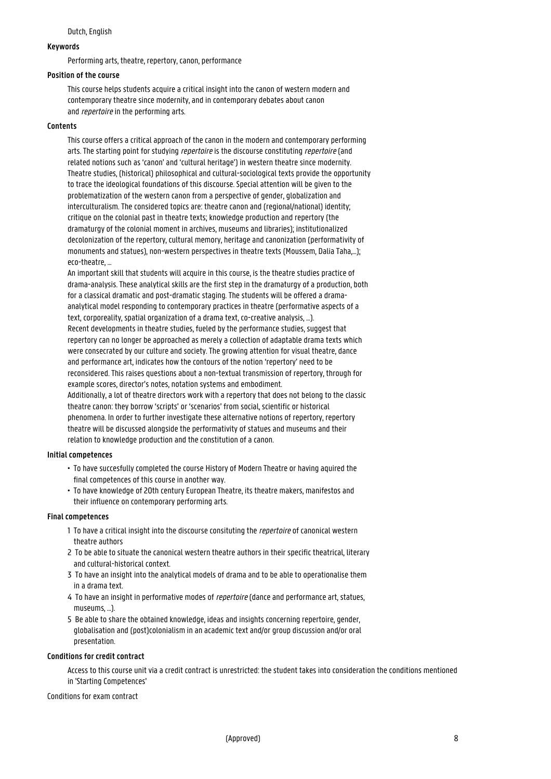#### Dutch, English

# **Keywords**

Performing arts, theatre, repertory, canon, performance

#### **Position of the course**

This course helps students acquire a critical insight into the canon of western modern and contemporary theatre since modernity, and in contemporary debates about canon and *repertoire* in the performing arts.

#### **Contents**

This course offers a critical approach of the canon in the modern and contemporary performing arts. The starting point for studying *repertoire* is the discourse constituting *repertoire* (and related notions such as 'canon' and 'cultural heritage') in western theatre since modernity. Theatre studies, (historical) philosophical and cultural-sociological texts provide the opportunity to trace the ideological foundations of this discourse. Special attention will be given to the problematization of the western canon from a perspective of gender, globalization and interculturalism. The considered topics are: theatre canon and (regional/national) identity; critique on the colonial past in theatre texts; knowledge production and repertory (the dramaturgy of the colonial moment in archives, museums and libraries); institutionalized decolonization of the repertory, cultural memory, heritage and canonization (performativity of monuments and statues), non-western perspectives in theatre texts (Moussem, Dalia Taha,…); eco-theatre, …

An important skill that students will acquire in this course, is the theatre studies practice of drama-analysis. These analytical skills are the first step in the dramaturgy of a production, both for a classical dramatic and post-dramatic staging. The students will be offered a dramaanalytical model responding to contemporary practices in theatre (performative aspects of a text, corporeality, spatial organization of a drama text, co-creative analysis, …). Recent developments in theatre studies, fueled by the performance studies, suggest that repertory can no longer be approached as merely a collection of adaptable drama texts which were consecrated by our culture and society. The growing attention for visual theatre, dance and performance art, indicates how the contours of the notion 'repertory' need to be reconsidered. This raises questions about a non-textual transmission of repertory, through for example scores, director's notes, notation systems and embodiment.

Additionally, a lot of theatre directors work with a repertory that does not belong to the classic theatre canon: they borrow 'scripts' or 'scenarios' from social, scientific or historical phenomena. In order to further investigate these alternative notions of repertory, repertory theatre will be discussed alongside the performativity of statues and museums and their relation to knowledge production and the constitution of a canon.

#### **Initial competences**

- To have succesfully completed the course History of Modern Theatre or having aquired the final competences of this course in another way.
- To have knowledge of 20th century European Theatre, its theatre makers, manifestos and their influence on contemporary performing arts.

#### **Final competences**

- 1 To have a critical insight into the discourse consituting the *repertoire* of canonical western theatre authors
- 2 To be able to situate the canonical western theatre authors in their specific theatrical, literary and cultural-historical context.
- 3 To have an insight into the analytical models of drama and to be able to operationalise them in a drama text.
- 4 To have an insight in performative modes of *repertoire* (dance and performance art, statues, museums, ...).
- 5 Be able to share the obtained knowledge, ideas and insights concerning repertoire, gender, 1 globalisation and (post)colonialism in an academic text and/or group discussion and/or oral presentation.

#### **Conditions for credit contract**

Access to this course unit via a credit contract is unrestricted: the student takes into consideration the conditions mentioned in 'Starting Competences'

Conditions for exam contract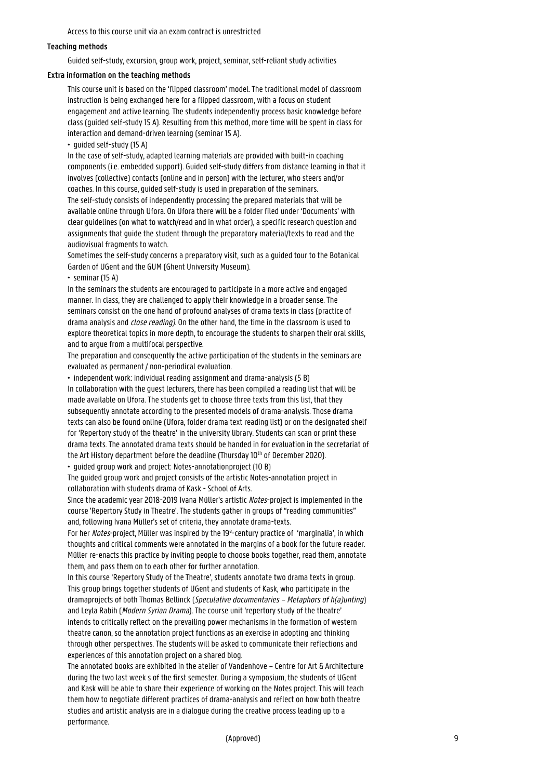Access to this course unit via an exam contract is unrestricted

#### **Teaching methods**

Guided self-study, excursion, group work, project, seminar, self-reliant study activities

#### **Extra information on the teaching methods**

This course unit is based on the 'flipped classroom' model. The traditional model of classroom instruction is being exchanged here for a flipped classroom, with a focus on student engagement and active learning. The students independently process basic knowledge before class (guided self-study 15 A). Resulting from this method, more time will be spent in class for interaction and demand-driven learning (seminar 15 A).

• guided self-study (15 A)

In the case of self-study, adapted learning materials are provided with built-in coaching components (i.e. embedded support). Guided self-study differs from distance learning in that it involves (collective) contacts (online and in person) with the lecturer, who steers and/or coaches. In this course, guided self-study is used in preparation of the seminars. The self-study consists of independently processing the prepared materials that will be available online through Ufora. On Ufora there will be a folder filed under 'Documents' with clear guidelines (on what to watch/read and in what order), a specific research question and assignments that guide the student through the preparatory material/texts to read and the audiovisual fragments to watch.

Sometimes the self-study concerns a preparatory visit, such as a guided tour to the Botanical Garden of UGent and the GUM (Ghent University Museum).

• seminar (15 A)

In the seminars the students are encouraged to participate in a more active and engaged manner. In class, they are challenged to apply their knowledge in a broader sense. The seminars consist on the one hand of profound analyses of drama texts in class (practice of drama analysis and close reading). On the other hand, the time in the classroom is used to explore theoretical topics in more depth, to encourage the students to sharpen their oral skills, and to argue from a multifocal perspective.

The preparation and consequently the active participation of the students in the seminars are evaluated as permanent / non-periodical evaluation.

• independent work: individual reading assignment and drama-analysis (5 B) In collaboration with the guest lecturers, there has been compiled a reading list that will be made available on Ufora. The students get to choose three texts from this list, that they subsequently annotate according to the presented models of drama-analysis. Those drama texts can also be found online (Ufora, folder drama text reading list) or on the designated shelf for 'Repertory study of the theatre' in the university library. Students can scan or print these drama texts. The annotated drama texts should be handed in for evaluation in the secretariat of the Art History department before the deadline (Thursday 10<sup>th</sup> of December 2020). • guided group work and project: Notes-annotationproject (10 B)

The guided group work and project consists of the artistic Notes-annotation project in collaboration with students drama of Kask - School of Arts.

Since the academic year 2018-2019 Ivana Müller's artistic Notes-project is implemented in the course 'Repertory Study in Theatre'. The students gather in groups of "reading communities" and, following Ivana Müller's set of criteria, they annotate drama-texts.

For her Notes-project, Müller was inspired by the 19<sup>e</sup>-century practice of 'marginalia', in which thoughts and critical comments were annotated in the margins of a book for the future reader. Müller re-enacts this practice by inviting people to choose books together, read them, annotate them, and pass them on to each other for further annotation.

In this course 'Repertory Study of the Theatre', students annotate two drama texts in group. This group brings together students of UGent and students of Kask, who participate in the dramaprojects of both Thomas Bellinck (Speculative documentaries – Metaphors of h(a)unting) and Leyla Rabih (Modern Syrian Drama). The course unit 'repertory study of the theatre' intends to critically reflect on the prevailing power mechanisms in the formation of western theatre canon, so the annotation project functions as an exercise in adopting and thinking through other perspectives. The students will be asked to communicate their reflections and experiences of this annotation project on a shared blog.

The annotated books are exhibited in the atelier of Vandenhove – Centre for Art & Architecture during the two last week s of the first semester. During a symposium, the students of UGent and Kask will be able to share their experience of working on the Notes project. This will teach them how to negotiate different practices of drama-analysis and reflect on how both theatre studies and artistic analysis are in a dialogue during the creative process leading up to a performance.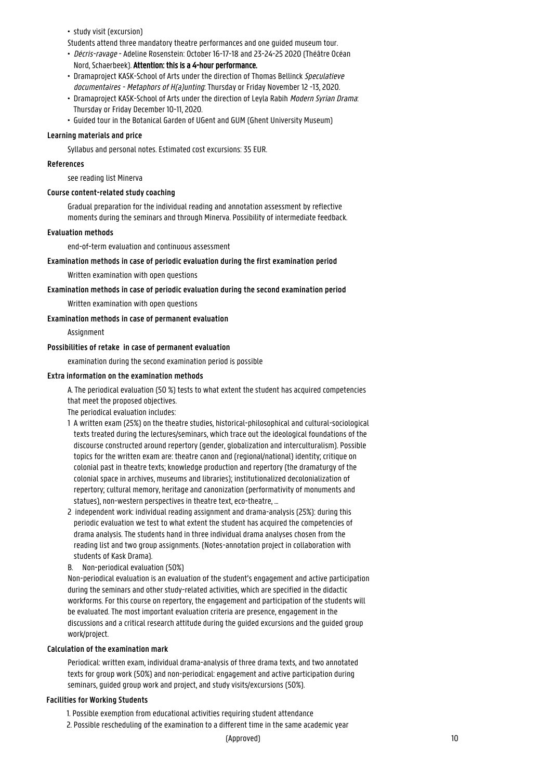• study visit (excursion)

Students attend three mandatory theatre performances and one guided museum tour.

- Décris-ravage Adeline Rosenstein: October 16-17-18 and 23-24-25 2020 (Théâtre Océan
- Nord, Schaerbeek). Attention: this is a 4-hour performance.
- Dramaproject KASK-School of Arts under the direction of Thomas Bellinck Speculatieve • documentaires - Metaphors of H(a)unting: Thursday or Friday November 12 -13, 2020.
- Dramaproject KASK-School of Arts under the direction of Leyla Rabih Modern Syrian Drama: • Thursday or Friday December 10-11, 2020.
- Guided tour in the Botanical Garden of UGent and GUM (Ghent University Museum)

#### **Learning materials and price**

Syllabus and personal notes. Estimated cost excursions: 35 EUR.

#### **References**

see reading list Minerva

#### **Course content-related study coaching**

Gradual preparation for the individual reading and annotation assessment by reflective moments during the seminars and through Minerva. Possibility of intermediate feedback.

#### **Evaluation methods**

end-of-term evaluation and continuous assessment

# **Examination methods in case of periodic evaluation during the first examination period**

Written examination with open questions

# **Examination methods in case of periodic evaluation during the second examination period**

Written examination with open questions

#### **Examination methods in case of permanent evaluation**

Assignment

# **Possibilities of retake in case of permanent evaluation**

examination during the second examination period is possible

#### **Extra information on the examination methods**

A. The periodical evaluation (50 %) tests to what extent the student has acquired competencies that meet the proposed objectives.

The periodical evaluation includes:

- 1 A written exam (25%) on the theatre studies, historical-philosophical and cultural-sociological texts treated during the lectures/seminars, which trace out the ideological foundations of the 1 discourse constructed around repertory (gender, globalization and interculturalism). Possible topics for the written exam are: theatre canon and (regional/national) identity; critique on 1 colonial past in theatre texts; knowledge production and repertory (the dramaturgy of the colonial space in archives, museums and libraries); institutionalized decolonialization of 1 repertory; cultural memory, heritage and canonization (performativity of monuments and statues), non-western perspectives in theatre text, eco-theatre, ...
- 2 independent work: individual reading assignment and drama-analysis (25%): during this 1 periodic evaluation we test to what extent the student has acquired the competencies of 1 drama analysis. The students hand in three individual drama analyses chosen from the 1 reading list and two group assignments. (Notes-annotation project in collaboration with students of Kask Drama).
- B. Non-periodical evaluation (50%)

Non-periodical evaluation is an evaluation of the student's engagement and active participation during the seminars and other study-related activities, which are specified in the didactic workforms. For this course on repertory, the engagement and participation of the students will be evaluated. The most important evaluation criteria are presence, engagement in the discussions and a critical research attitude during the guided excursions and the guided group work/project.

#### **Calculation of the examination mark**

Periodical: written exam, individual drama-analysis of three drama texts, and two annotated texts for group work (50%) and non-periodical: engagement and active participation during seminars, guided group work and project, and study visits/excursions (50%).

#### **Facilities for Working Students**

1. Possible exemption from educational activities requiring student attendance

2. Possible rescheduling of the examination to a different time in the same academic year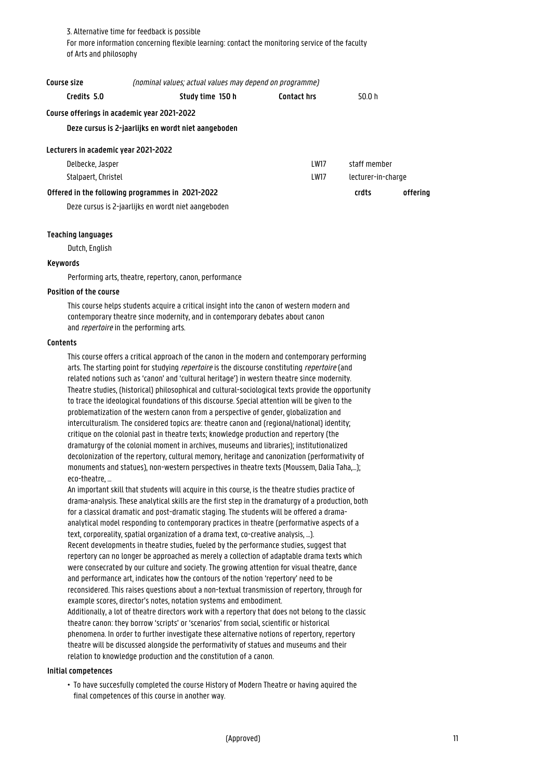3. Alternative time for feedback is possible For more information concerning flexible learning: contact the monitoring service of the faculty of Arts and philosophy

| Course size                                 | (nominal values; actual values may depend on programme)                                                 |                              |                    |          |
|---------------------------------------------|---------------------------------------------------------------------------------------------------------|------------------------------|--------------------|----------|
| Credits 5.0                                 | Study time 150 h                                                                                        | <b>Contact hrs</b><br>50 0 h |                    |          |
| Course offerings in academic year 2021-2022 |                                                                                                         |                              |                    |          |
|                                             | Deze cursus is 2-jaarlijks en wordt niet aangeboden                                                     |                              |                    |          |
| Lecturers in academic year 2021-2022        |                                                                                                         |                              |                    |          |
| Delbecke, Jasper                            |                                                                                                         | I W17                        | staff member       |          |
| Stalpaert, Christel                         |                                                                                                         | <b>LW17</b>                  | lecturer-in-charge |          |
|                                             | Offered in the following programmes in 2021-2022<br>Deze cursus is 2-jaarlijks en wordt niet aangeboden |                              | crdts              | offerina |

#### **Teaching languages**

Dutch, English

#### **Keywords**

Performing arts, theatre, repertory, canon, performance

#### **Position of the course**

This course helps students acquire a critical insight into the canon of western modern and contemporary theatre since modernity, and in contemporary debates about canon and *repertoire* in the performing arts.

# **Contents**

This course offers a critical approach of the canon in the modern and contemporary performing arts. The starting point for studying *repertoire* is the discourse constituting *repertoire* (and related notions such as 'canon' and 'cultural heritage') in western theatre since modernity. Theatre studies, (historical) philosophical and cultural-sociological texts provide the opportunity to trace the ideological foundations of this discourse. Special attention will be given to the problematization of the western canon from a perspective of gender, globalization and interculturalism. The considered topics are: theatre canon and (regional/national) identity; critique on the colonial past in theatre texts; knowledge production and repertory (the dramaturgy of the colonial moment in archives, museums and libraries); institutionalized decolonization of the repertory, cultural memory, heritage and canonization (performativity of monuments and statues), non-western perspectives in theatre texts (Moussem, Dalia Taha,…); eco-theatre, …

An important skill that students will acquire in this course, is the theatre studies practice of drama-analysis. These analytical skills are the first step in the dramaturgy of a production, both for a classical dramatic and post-dramatic staging. The students will be offered a dramaanalytical model responding to contemporary practices in theatre (performative aspects of a text, corporeality, spatial organization of a drama text, co-creative analysis, …). Recent developments in theatre studies, fueled by the performance studies, suggest that repertory can no longer be approached as merely a collection of adaptable drama texts which were consecrated by our culture and society. The growing attention for visual theatre, dance and performance art, indicates how the contours of the notion 'repertory' need to be reconsidered. This raises questions about a non-textual transmission of repertory, through for example scores, director's notes, notation systems and embodiment. Additionally, a lot of theatre directors work with a repertory that does not belong to the classic theatre canon: they borrow 'scripts' or 'scenarios' from social, scientific or historical phenomena. In order to further investigate these alternative notions of repertory, repertory theatre will be discussed alongside the performativity of statues and museums and their relation to knowledge production and the constitution of a canon.

#### **Initial competences**

• To have succesfully completed the course History of Modern Theatre or having aquired the final competences of this course in another way.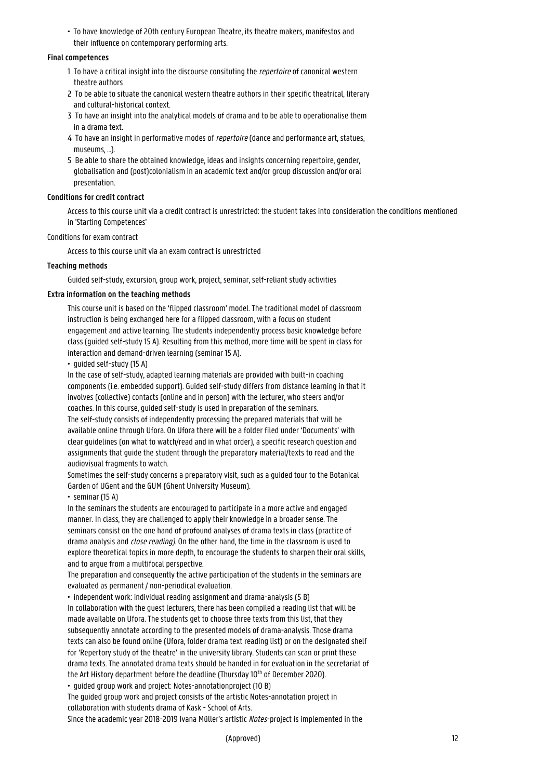• To have knowledge of 20th century European Theatre, its theatre makers, manifestos and their influence on contemporary performing arts.

# **Final competences**

- 1 To have a critical insight into the discourse consituting the *repertoire* of canonical western theatre authors
- 2 To be able to situate the canonical western theatre authors in their specific theatrical, literary and cultural-historical context.
- 3 To have an insight into the analytical models of drama and to be able to operationalise them in a drama text.
- 4 To have an insight in performative modes of *repertoire* (dance and performance art, statues, museums, ...).
- 5 Be able to share the obtained knowledge, ideas and insights concerning repertoire, gender, 1 globalisation and (post)colonialism in an academic text and/or group discussion and/or oral presentation.

# **Conditions for credit contract**

Access to this course unit via a credit contract is unrestricted: the student takes into consideration the conditions mentioned in 'Starting Competences'

# Conditions for exam contract

Access to this course unit via an exam contract is unrestricted

# **Teaching methods**

Guided self-study, excursion, group work, project, seminar, self-reliant study activities

# **Extra information on the teaching methods**

This course unit is based on the 'flipped classroom' model. The traditional model of classroom instruction is being exchanged here for a flipped classroom, with a focus on student engagement and active learning. The students independently process basic knowledge before class (guided self-study 15 A). Resulting from this method, more time will be spent in class for interaction and demand-driven learning (seminar 15 A).

• guided self-study (15 A)

In the case of self-study, adapted learning materials are provided with built-in coaching components (i.e. embedded support). Guided self-study differs from distance learning in that it involves (collective) contacts (online and in person) with the lecturer, who steers and/or coaches. In this course, guided self-study is used in preparation of the seminars.

The self-study consists of independently processing the prepared materials that will be available online through Ufora. On Ufora there will be a folder filed under 'Documents' with clear guidelines (on what to watch/read and in what order), a specific research question and assignments that guide the student through the preparatory material/texts to read and the audiovisual fragments to watch.

Sometimes the self-study concerns a preparatory visit, such as a guided tour to the Botanical Garden of UGent and the GUM (Ghent University Museum).

• seminar (15 A)

In the seminars the students are encouraged to participate in a more active and engaged manner. In class, they are challenged to apply their knowledge in a broader sense. The seminars consist on the one hand of profound analyses of drama texts in class (practice of drama analysis and close reading). On the other hand, the time in the classroom is used to explore theoretical topics in more depth, to encourage the students to sharpen their oral skills, and to argue from a multifocal perspective.

The preparation and consequently the active participation of the students in the seminars are evaluated as permanent / non-periodical evaluation.

• independent work: individual reading assignment and drama-analysis (5 B) In collaboration with the guest lecturers, there has been compiled a reading list that will be made available on Ufora. The students get to choose three texts from this list, that they subsequently annotate according to the presented models of drama-analysis. Those drama texts can also be found online (Ufora, folder drama text reading list) or on the designated shelf for 'Repertory study of the theatre' in the university library. Students can scan or print these drama texts. The annotated drama texts should be handed in for evaluation in the secretariat of the Art History department before the deadline (Thursday 10<sup>th</sup> of December 2020).

• guided group work and project: Notes-annotationproject (10 B)

The guided group work and project consists of the artistic Notes-annotation project in collaboration with students drama of Kask - School of Arts.

Since the academic year 2018-2019 Ivana Müller's artistic Notes-project is implemented in the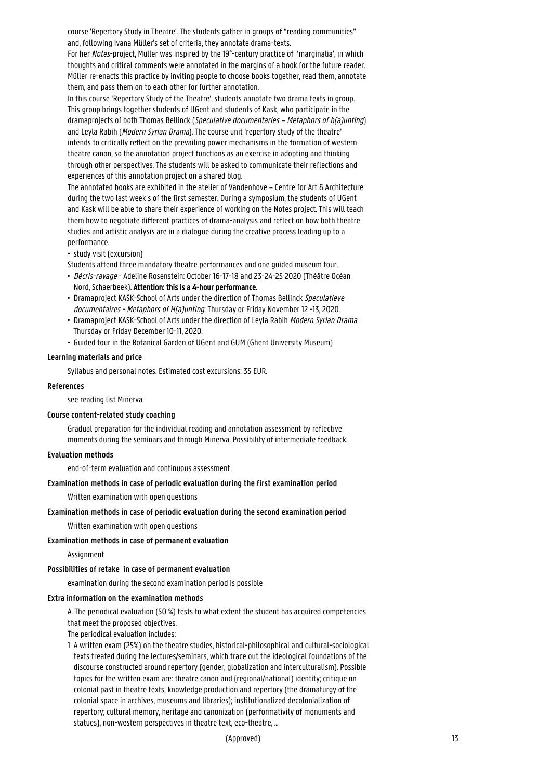course 'Repertory Study in Theatre'. The students gather in groups of "reading communities" and, following Ivana Müller's set of criteria, they annotate drama-texts.

For her Notes-project, Müller was inspired by the 19<sup>e</sup>-century practice of 'marginalia', in which thoughts and critical comments were annotated in the margins of a book for the future reader. Müller re-enacts this practice by inviting people to choose books together, read them, annotate them, and pass them on to each other for further annotation.

In this course 'Repertory Study of the Theatre', students annotate two drama texts in group. This group brings together students of UGent and students of Kask, who participate in the dramaprojects of both Thomas Bellinck (Speculative documentaries – Metaphors of h(a)unting) and Leyla Rabih (Modern Syrian Drama). The course unit 'repertory study of the theatre' intends to critically reflect on the prevailing power mechanisms in the formation of western theatre canon, so the annotation project functions as an exercise in adopting and thinking through other perspectives. The students will be asked to communicate their reflections and experiences of this annotation project on a shared blog.

The annotated books are exhibited in the atelier of Vandenhove – Centre for Art & Architecture during the two last week s of the first semester. During a symposium, the students of UGent and Kask will be able to share their experience of working on the Notes project. This will teach them how to negotiate different practices of drama-analysis and reflect on how both theatre studies and artistic analysis are in a dialogue during the creative process leading up to a performance.

• study visit (excursion)

Students attend three mandatory theatre performances and one guided museum tour.

- Décris-ravage Adeline Rosenstein: October 16-17-18 and 23-24-25 2020 (Théâtre Océan Nord, Schaerbeek). Attention: this is a 4-hour performance.
- Dramaproject KASK-School of Arts under the direction of Thomas Bellinck Speculatieve documentaires - Metaphors of H(a)unting: Thursday or Friday November 12 -13, 2020.
- Dramaproject KASK-School of Arts under the direction of Leyla Rabih Modern Syrian Drama: • Thursday or Friday December 10-11, 2020.
- Guided tour in the Botanical Garden of UGent and GUM (Ghent University Museum)

# **Learning materials and price**

Syllabus and personal notes. Estimated cost excursions: 35 EUR.

#### **References**

see reading list Minerva

#### **Course content-related study coaching**

Gradual preparation for the individual reading and annotation assessment by reflective moments during the seminars and through Minerva. Possibility of intermediate feedback.

#### **Evaluation methods**

end-of-term evaluation and continuous assessment

# **Examination methods in case of periodic evaluation during the first examination period**

Written examination with open questions

#### **Examination methods in case of periodic evaluation during the second examination period**

Written examination with open questions

#### **Examination methods in case of permanent evaluation**

Assignment

#### **Possibilities of retake in case of permanent evaluation**

examination during the second examination period is possible

#### **Extra information on the examination methods**

A. The periodical evaluation (50 %) tests to what extent the student has acquired competencies that meet the proposed objectives.

The periodical evaluation includes:

1 A written exam (25%) on the theatre studies, historical-philosophical and cultural-sociological texts treated during the lectures/seminars, which trace out the ideological foundations of the 1 discourse constructed around repertory (gender, globalization and interculturalism). Possible 1 topics for the written exam are: theatre canon and (regional/national) identity; critique on colonial past in theatre texts; knowledge production and repertory (the dramaturgy of the colonial space in archives, museums and libraries); institutionalized decolonialization of 1 repertory; cultural memory, heritage and canonization (performativity of monuments and statues), non-western perspectives in theatre text, eco-theatre, ...